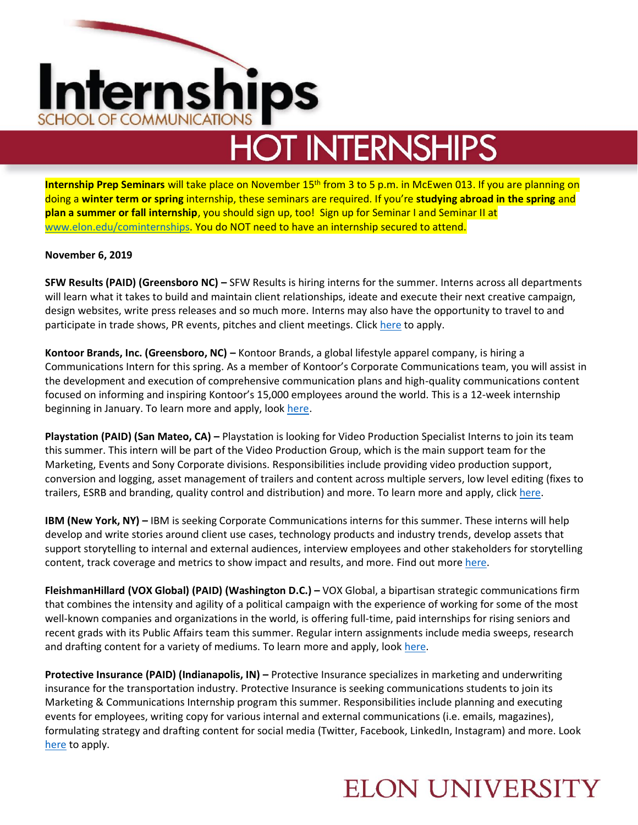# Internships SCHOOL OF COMMUNICATIC

## **HOT INTERNSHIPS**

**Internship Prep Seminars** will take place on November 15<sup>th</sup> from 3 to 5 p.m. in McEwen 013. If you are planning on doing a **winter term or spring** internship, these seminars are required. If you're **studying abroad in the spring** and **plan a summer or fall internship**, you should sign up, too! Sign up for Seminar I and Seminar II at [www.elon.edu/cominternships.](http://www.elon.edu/cominternships) You do NOT need to have an internship secured to attend.

#### **November 6, 2019**

**SFW Results (PAID) (Greensboro NC) –** SFW Results is hiring interns for the summer. Interns across all departments will learn what it takes to build and maintain client relationships, ideate and execute their next creative campaign, design websites, write press releases and so much more. Interns may also have the opportunity to travel to and participate in trade shows, PR events, pitches and client meetings. Clic[k here](https://www.sfwresults.com/jobs/summer-internship/) to apply.

**Kontoor Brands, Inc. (Greensboro, NC) –** Kontoor Brands, a global lifestyle apparel company, is hiring a Communications Intern for this spring. As a member of Kontoor's Corporate Communications team, you will assist in the development and execution of comprehensive communication plans and high-quality communications content focused on informing and inspiring Kontoor's 15,000 employees around the world. This is a 12-week internship beginning in January. To learn more and apply, look [here.](https://kbi.wd5.myworkdayjobs.com/en-US/Kontoor/job/USCA--USA--North-Carolina--Greensboro-N-Elm-HQ---JWR/Intern--Internal-Communications--Greensboro--NC-_R-20191018-0022)

**Playstation (PAID) (San Mateo, CA) –** Playstation is looking for Video Production Specialist Interns to join its team this summer. This intern will be part of the Video Production Group, which is the main support team for the Marketing, Events and Sony Corporate divisions. Responsibilities include providing video production support, conversion and logging, asset management of trailers and content across multiple servers, low level editing (fixes to trailers, ESRB and branding, quality control and distribution) and more. To learn more and apply, clic[k here.](https://boards.greenhouse.io/sonyinteractiveentertainmentplaystation/jobs/1859506)

**IBM (New York, NY) –** IBM is seeking Corporate Communications interns for this summer. These interns will help develop and write stories around client use cases, technology products and industry trends, develop assets that support storytelling to internal and external audiences, interview employees and other stakeholders for storytelling content, track coverage and metrics to show impact and results, and more. Find out mor[e here.](https://careers.ibm.com/ShowJob/Id/757621/2020%20Intern%20%20%20IBM%20Corporate%20Communications)

**FleishmanHillard (VOX Global) (PAID) (Washington D.C.) –** VOX Global, a bipartisan strategic communications firm that combines the intensity and agility of a political campaign with the experience of working for some of the most well-known companies and organizations in the world, is offering full-time, paid internships for rising seniors and recent grads with its Public Affairs team this summer. Regular intern assignments include media sweeps, research and drafting content for a variety of mediums. To learn more and apply, look [here.](https://chp.tbe.taleo.net/chp03/ats/careers/requisition.jsp?org=FLEISHMAN&cws=1&rid=4151)

**Protective Insurance (PAID) (Indianapolis, IN) – Protective Insurance specializes in marketing and underwriting** insurance for the transportation industry. Protective Insurance is seeking communications students to join its Marketing & Communications Internship program this summer. Responsibilities include planning and executing events for employees, writing copy for various internal and external communications (i.e. emails, magazines), formulating strategy and drafting content for social media (Twitter, Facebook, LinkedIn, Instagram) and more. Look [here](https://boards.greenhouse.io/embed/job_app?token=1940007&LinkedIn) to apply.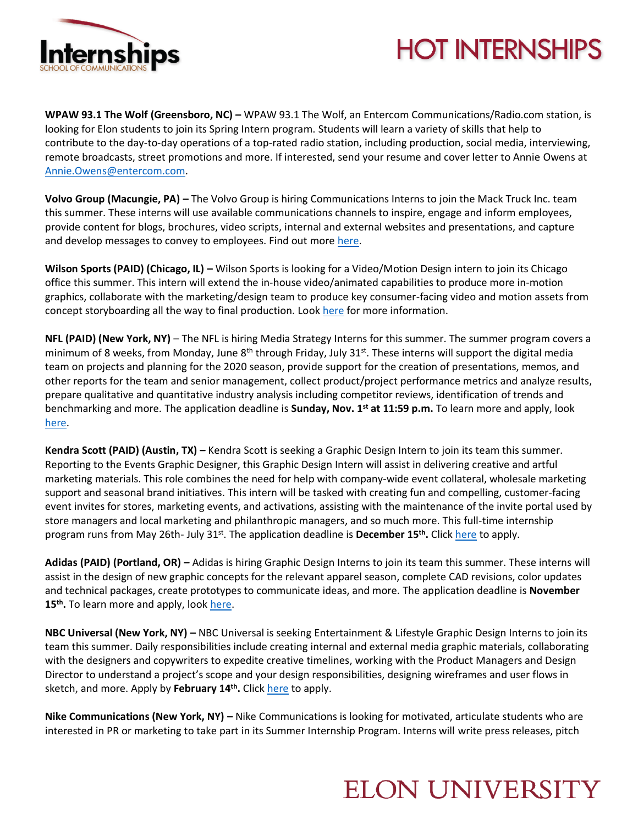

#### **HOT INTERNSHIPS**

**WPAW 93.1 The Wolf (Greensboro, NC) –** WPAW 93.1 The Wolf, an Entercom Communications/Radio.com station, is looking for Elon students to join its Spring Intern program. Students will learn a variety of skills that help to contribute to the day-to-day operations of a top-rated radio station, including production, social media, interviewing, remote broadcasts, street promotions and more. If interested, send your resume and cover letter to Annie Owens at [Annie.Owens@entercom.com.](mailto:Annie.Owens@entercom.com)

**Volvo Group (Macungie, PA) –** The Volvo Group is hiring Communications Interns to join the Mack Truck Inc. team this summer. These interns will use available communications channels to inspire, engage and inform employees, provide content for blogs, brochures, video scripts, internal and external websites and presentations, and capture and develop messages to convey to employees. Find out more [here.](https://www.volvogroup.com/en-en/careers/job-listing/98657BR.html)

**Wilson Sports (PAID) (Chicago, IL) –** Wilson Sports is looking for a Video/Motion Design intern to join its Chicago office this summer. This intern will extend the in-house video/animated capabilities to produce more in-motion graphics, collaborate with the marketing/design team to produce key consumer-facing video and motion assets from concept storyboarding all the way to final production. Loo[k here](https://careers-wilson.icims.com/jobs/1718/video-motion-design-intern%2c-marketing%2c-team-sports-%28summer-2020%29/job?mobile=false&width=1028&height=500&bga=true&needsRedirect=false&jan1offset=-300&jun1offset=-240) for more information.

**NFL (PAID) (New York, NY)** – The NFL is hiring Media Strategy Interns for this summer. The summer program covers a minimum of 8 weeks, from Monday, June 8<sup>th</sup> through Friday, July 31<sup>st</sup>. These interns will support the digital media team on projects and planning for the 2020 season, provide support for the creation of presentations, memos, and other reports for the team and senior management, collect product/project performance metrics and analyze results, prepare qualitative and quantitative industry analysis including competitor reviews, identification of trends and benchmarking and more. The application deadline is **Sunday, Nov. 1st at 11:59 p.m.** To learn more and apply, look [here.](https://nfl.taleo.net/careersection/nfl_ex/jobdetail.ftl?job=190000MB&lang=en)

**Kendra Scott (PAID) (Austin, TX) –** Kendra Scott is seeking a Graphic Design Intern to join its team this summer. Reporting to the Events Graphic Designer, this Graphic Design Intern will assist in delivering creative and artful marketing materials. This role combines the need for help with company-wide event collateral, wholesale marketing support and seasonal brand initiatives. This intern will be tasked with creating fun and compelling, customer-facing event invites for stores, marketing events, and activations, assisting with the maintenance of the invite portal used by store managers and local marketing and philanthropic managers, and so much more. This full-time internship program runs from May 26th- July 31<sup>st</sup>. The application deadline is **December 15<sup>th</sup>.** Click [here](https://sjobs.brassring.com/tgwebhost/jobdetails.aspx?siteid=5247&partnerid=26224&jobid=723170) to apply.

**Adidas (PAID) (Portland, OR) –** Adidas is hiring Graphic Design Interns to join its team this summer. These interns will assist in the design of new graphic concepts for the relevant apparel season, complete CAD revisions, color updates and technical packages, create prototypes to communicate ideas, and more. The application deadline is **November**  15<sup>th</sup>. To learn more and apply, look [here.](https://careers.adidas-group.com/jobs/2020-us-internship-graphic-design-204339?locale=en)

**NBC Universal (New York, NY) –** NBC Universal is seeking Entertainment & Lifestyle Graphic Design Interns to join its team this summer. Daily responsibilities include creating internal and external media graphic materials, collaborating with the designers and copywriters to expedite creative timelines, working with the Product Managers and Design Director to understand a project's scope and your design responsibilities, designing wireframes and user flows in sketch, and more. Apply by **February 14th .** Clic[k here](https://sjobs.brassring.com/TGnewUI/Search/home/HomeWithPreLoad?PageType=JobDetails&partnerid=25354&siteid=5108&jobId=466449&codes=LinkedIn#jobDetails=466449_5108) to apply.

**Nike Communications (New York, NY) –** Nike Communications is looking for motivated, articulate students who are interested in PR or marketing to take part in its Summer Internship Program. Interns will write press releases, pitch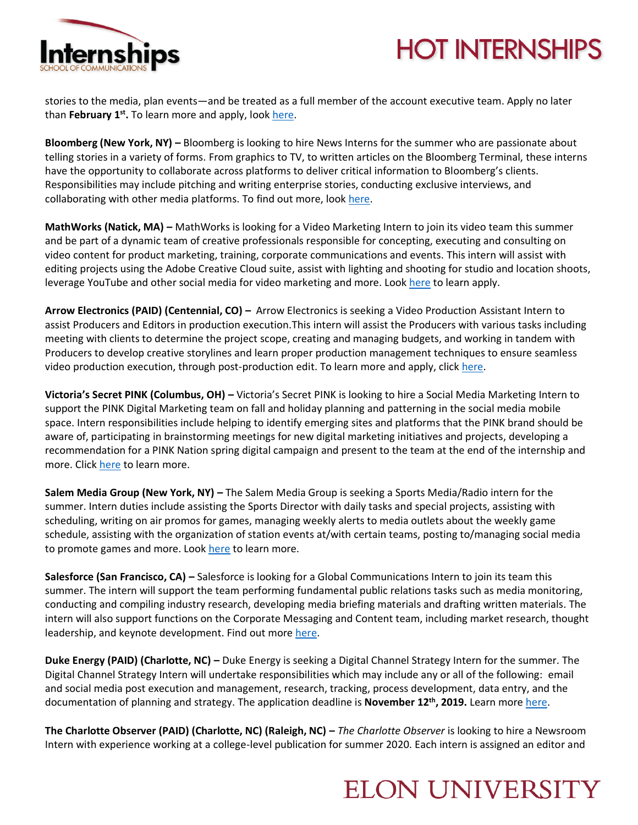### **HOT INTERNSHIPS**



stories to the media, plan events—and be treated as a full member of the account executive team. Apply no later than **February 1st .** To learn more and apply, loo[k here.](https://www.nikecomm.com/internships.html)

**Bloomberg (New York, NY) –** Bloomberg is looking to hire News Interns for the summer who are passionate about telling stories in a variety of forms. From graphics to TV, to written articles on the Bloomberg Terminal, these interns have the opportunity to collaborate across platforms to deliver critical information to Bloomberg's clients. Responsibilities may include pitching and writing enterprise stories, conducting exclusive interviews, and collaborating with other media platforms. To find out more, loo[k here.](https://careers.bloomberg.com/job/detail/78731?utm_medium=Bayard&utm_source=LinkedIn) 

**MathWorks (Natick, MA) –** MathWorks is looking for a Video Marketing Intern to join its video team this summer and be part of a dynamic team of creative professionals responsible for concepting, executing and consulting on video content for product marketing, training, corporate communications and events. This intern will assist with editing projects using the Adobe Creative Cloud suite, assist with lighting and shooting for studio and location shoots, leverage YouTube and other social media for video marketing and more. Loo[k here](https://www.mathworks.com/company/jobs/opportunities/22265-video-marketing-summer-intern.html?source=14343&s_eid=rcj_14343) to learn apply.

**Arrow Electronics (PAID) (Centennial, CO) –** Arrow Electronics is seeking a Video Production Assistant Intern to assist Producers and Editors in production execution.This intern will assist the Producers with various tasks including meeting with clients to determine the project scope, creating and managing budgets, and working in tandem with Producers to develop creative storylines and learn proper production management techniques to ensure seamless video production execution, through post-production edit. To learn more and apply, click [here.](https://careers.arrow.com/us/en/job/ARELUSR173042ENUS/Video-Production-Intern-Full-time-Summer-2020?utm_source=linkedin&utm_medium=phenom-feeds&source=LinkedIn)

**Victoria's Secret PINK (Columbus, OH) –** Victoria's Secret PINK is looking to hire a Social Media Marketing Intern to support the PINK Digital Marketing team on fall and holiday planning and patterning in the social media mobile space. Intern responsibilities include helping to identify emerging sites and platforms that the PINK brand should be aware of, participating in brainstorming meetings for new digital marketing initiatives and projects, developing a recommendation for a PINK Nation spring digital campaign and present to the team at the end of the internship and more. Clic[k here](https://www.linkedin.com/jobs/view/1546317469) to learn more.

**Salem Media Group (New York, NY) –** The Salem Media Group is seeking a Sports Media/Radio intern for the summer. Intern duties include assisting the Sports Director with daily tasks and special projects, assisting with scheduling, writing on air promos for games, managing weekly alerts to media outlets about the weekly game schedule, assisting with the organization of station events at/with certain teams, posting to/managing social media to promote games and more. Look [here](https://recruiting2.ultipro.com/SAL1004SALEM/JobBoard/c1248e3d-19bb-4fbb-bdf9-f9f5dcebe2ea/OpportunityDetail?opportunityId=7554fcaa-c335-4ed8-ba17-bd27b9523861) to learn more.

**Salesforce (San Francisco, CA) –** Salesforce is looking for a Global Communications Intern to join its team this summer. The intern will support the team performing fundamental public relations tasks such as media monitoring, conducting and compiling industry research, developing media briefing materials and drafting written materials. The intern will also support functions on the Corporate Messaging and Content team, including market research, thought leadership, and keynote development. Find out mor[e here.](https://salesforce.wd1.myworkdayjobs.com/en-US/External_Career_Site/job/California---San-Francisco/Summer-2020-Intern---Global-Communications_JR52631-1)

**Duke Energy (PAID) (Charlotte, NC) –** Duke Energy is seeking a Digital Channel Strategy Intern for the summer. The Digital Channel Strategy Intern will undertake responsibilities which may include any or all of the following: email and social media post execution and management, research, tracking, process development, data entry, and the documentation of planning and strategy. The application deadline is **November 12th, 2019.** Learn mor[e here.](https://dukeenergy.wd1.myworkdayjobs.com/Search/job/Charlotte-NC/XMLNAME-2020-Summer-Internship---Digital-Channel-Strategy_R10753)

**The Charlotte Observer (PAID) (Charlotte, NC) (Raleigh, NC) –** *The Charlotte Observer* is looking to hire a Newsroom Intern with experience working at a college-level publication for summer 2020. Each intern is assigned an editor and